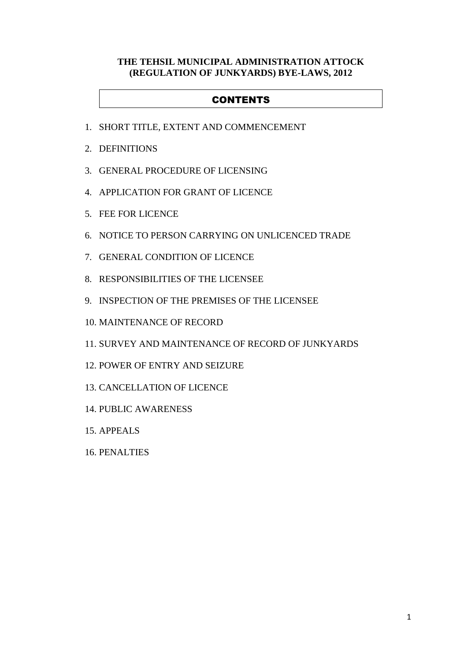## **THE TEHSIL MUNICIPAL ADMINISTRATION ATTOCK (REGULATION OF JUNKYARDS) BYE-LAWS, 2012**

## **CONTENTS**

- 1. SHORT TITLE, EXTENT AND COMMENCEMENT
- 2. DEFINITIONS
- 3. GENERAL PROCEDURE OF LICENSING
- 4. APPLICATION FOR GRANT OF LICENCE
- 5. FEE FOR LICENCE
- 6. NOTICE TO PERSON CARRYING ON UNLICENCED TRADE
- 7. GENERAL CONDITION OF LICENCE
- 8. RESPONSIBILITIES OF THE LICENSEE
- 9. INSPECTION OF THE PREMISES OF THE LICENSEE
- 10. MAINTENANCE OF RECORD
- 11. SURVEY AND MAINTENANCE OF RECORD OF JUNKYARDS
- 12. POWER OF ENTRY AND SEIZURE
- 13. CANCELLATION OF LICENCE
- 14. PUBLIC AWARENESS
- 15. APPEALS
- 16. PENALTIES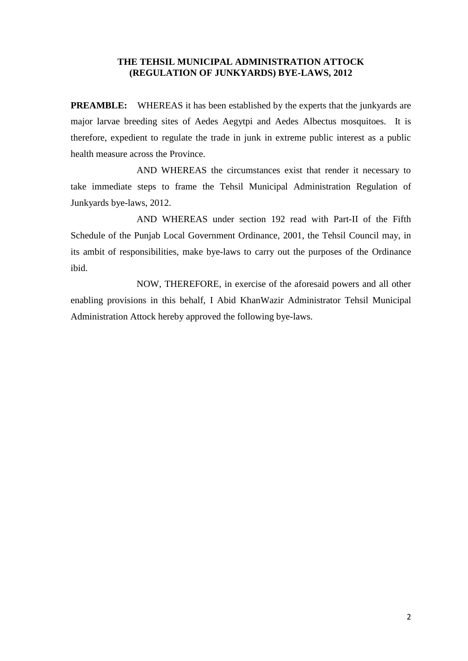#### **THE TEHSIL MUNICIPAL ADMINISTRATION ATTOCK (REGULATION OF JUNKYARDS) BYE-LAWS, 2012**

**PREAMBLE:** WHEREAS it has been established by the experts that the junkyards are major larvae breeding sites of Aedes Aegytpi and Aedes Albectus mosquitoes. It is therefore, expedient to regulate the trade in junk in extreme public interest as a public health measure across the Province.

 AND WHEREAS the circumstances exist that render it necessary to take immediate steps to frame the Tehsil Municipal Administration Regulation of Junkyards bye-laws, 2012.

 AND WHEREAS under section 192 read with Part-II of the Fifth Schedule of the Punjab Local Government Ordinance, 2001, the Tehsil Council may, in its ambit of responsibilities, make bye-laws to carry out the purposes of the Ordinance ibid.

 NOW, THEREFORE, in exercise of the aforesaid powers and all other enabling provisions in this behalf, I Abid KhanWazir Administrator Tehsil Municipal Administration Attock hereby approved the following bye-laws.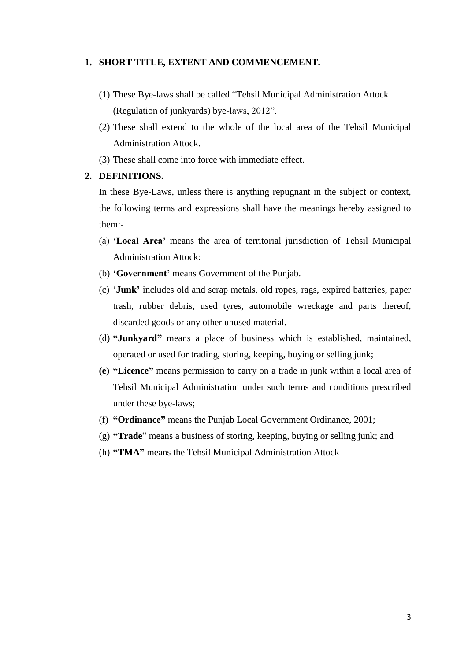#### **1. SHORT TITLE, EXTENT AND COMMENCEMENT.**

- (1) These Bye-laws shall be called "Tehsil Municipal Administration Attock (Regulation of junkyards) bye-laws, 2012".
- (2) These shall extend to the whole of the local area of the Tehsil Municipal Administration Attock.
- (3) These shall come into force with immediate effect.

#### **2. DEFINITIONS.**

In these Bye-Laws, unless there is anything repugnant in the subject or context, the following terms and expressions shall have the meanings hereby assigned to them:-

- (a) **"Local Area"** means the area of territorial jurisdiction of Tehsil Municipal Administration Attock:
- (b) **"Government"** means Government of the Punjab.
- (c) "**Junk"** includes old and scrap metals, old ropes, rags, expired batteries, paper trash, rubber debris, used tyres, automobile wreckage and parts thereof, discarded goods or any other unused material.
- (d) **"Junkyard"** means a place of business which is established, maintained, operated or used for trading, storing, keeping, buying or selling junk;
- **(e) "Licence"** means permission to carry on a trade in junk within a local area of Tehsil Municipal Administration under such terms and conditions prescribed under these bye-laws;
- (f) **"Ordinance"** means the Punjab Local Government Ordinance, 2001;
- (g) **"Trade**" means a business of storing, keeping, buying or selling junk; and
- (h) **"TMA"** means the Tehsil Municipal Administration Attock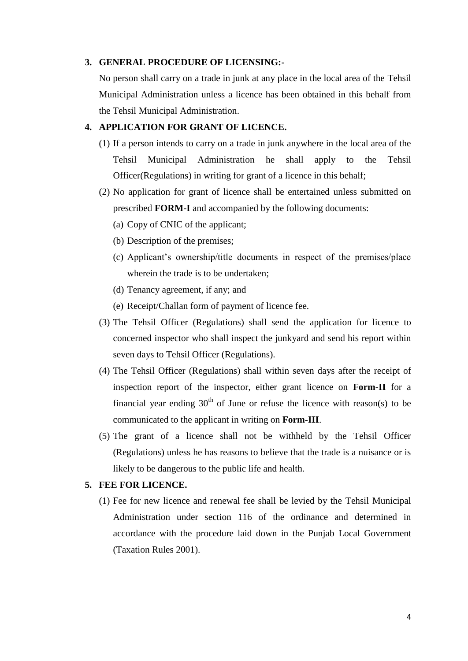#### **3. GENERAL PROCEDURE OF LICENSING:-**

No person shall carry on a trade in junk at any place in the local area of the Tehsil Municipal Administration unless a licence has been obtained in this behalf from the Tehsil Municipal Administration.

## **4. APPLICATION FOR GRANT OF LICENCE.**

- (1) If a person intends to carry on a trade in junk anywhere in the local area of the Tehsil Municipal Administration he shall apply to the Tehsil Officer(Regulations) in writing for grant of a licence in this behalf;
- (2) No application for grant of licence shall be entertained unless submitted on prescribed **FORM-I** and accompanied by the following documents:
	- (a) Copy of CNIC of the applicant;
	- (b) Description of the premises;
	- (c) Applicant"s ownership/title documents in respect of the premises/place wherein the trade is to be undertaken;
	- (d) Tenancy agreement, if any; and
	- (e) Receipt/Challan form of payment of licence fee.
- (3) The Tehsil Officer (Regulations) shall send the application for licence to concerned inspector who shall inspect the junkyard and send his report within seven days to Tehsil Officer (Regulations).
- (4) The Tehsil Officer (Regulations) shall within seven days after the receipt of inspection report of the inspector, either grant licence on **Form-II** for a financial year ending  $30<sup>th</sup>$  of June or refuse the licence with reason(s) to be communicated to the applicant in writing on **Form-III**.
- (5) The grant of a licence shall not be withheld by the Tehsil Officer (Regulations) unless he has reasons to believe that the trade is a nuisance or is likely to be dangerous to the public life and health.

## **5. FEE FOR LICENCE.**

(1) Fee for new licence and renewal fee shall be levied by the Tehsil Municipal Administration under section 116 of the ordinance and determined in accordance with the procedure laid down in the Punjab Local Government (Taxation Rules 2001).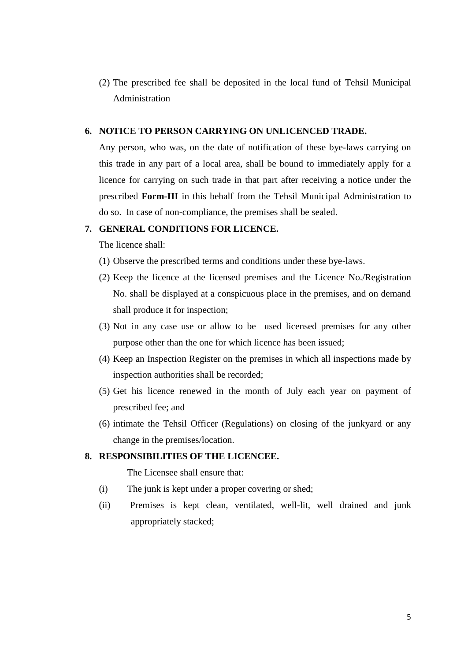(2) The prescribed fee shall be deposited in the local fund of Tehsil Municipal Administration

## **6. NOTICE TO PERSON CARRYING ON UNLICENCED TRADE.**

Any person, who was, on the date of notification of these bye-laws carrying on this trade in any part of a local area, shall be bound to immediately apply for a licence for carrying on such trade in that part after receiving a notice under the prescribed **Form-III** in this behalf from the Tehsil Municipal Administration to do so. In case of non-compliance, the premises shall be sealed.

## **7. GENERAL CONDITIONS FOR LICENCE.**

The licence shall:

- (1) Observe the prescribed terms and conditions under these bye-laws.
- (2) Keep the licence at the licensed premises and the Licence No./Registration No. shall be displayed at a conspicuous place in the premises, and on demand shall produce it for inspection;
- (3) Not in any case use or allow to be used licensed premises for any other purpose other than the one for which licence has been issued;
- (4) Keep an Inspection Register on the premises in which all inspections made by inspection authorities shall be recorded;
- (5) Get his licence renewed in the month of July each year on payment of prescribed fee; and
- (6) intimate the Tehsil Officer (Regulations) on closing of the junkyard or any change in the premises/location.

#### **8. RESPONSIBILITIES OF THE LICENCEE.**

The Licensee shall ensure that:

- (i) The junk is kept under a proper covering or shed;
- (ii) Premises is kept clean, ventilated, well-lit, well drained and junk appropriately stacked;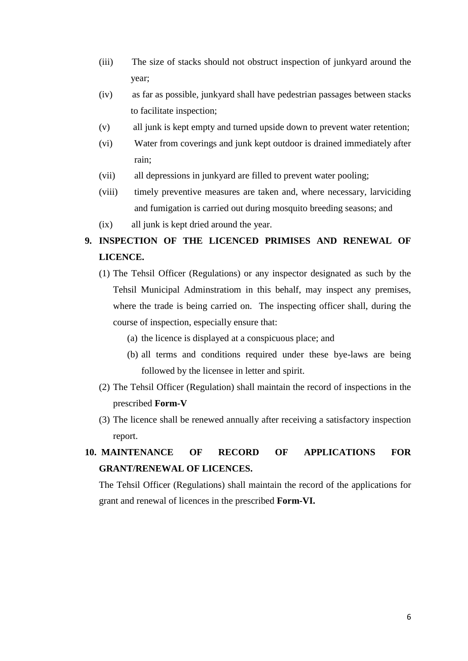- (iii) The size of stacks should not obstruct inspection of junkyard around the year;
- (iv) as far as possible, junkyard shall have pedestrian passages between stacks to facilitate inspection;
- (v) all junk is kept empty and turned upside down to prevent water retention;
- (vi) Water from coverings and junk kept outdoor is drained immediately after rain;
- (vii) all depressions in junkyard are filled to prevent water pooling;
- (viii) timely preventive measures are taken and, where necessary, larviciding and fumigation is carried out during mosquito breeding seasons; and
- (ix) all junk is kept dried around the year.

# **9. INSPECTION OF THE LICENCED PRIMISES AND RENEWAL OF LICENCE.**

- (1) The Tehsil Officer (Regulations) or any inspector designated as such by the Tehsil Municipal Adminstratiom in this behalf, may inspect any premises, where the trade is being carried on. The inspecting officer shall, during the course of inspection, especially ensure that:
	- (a) the licence is displayed at a conspicuous place; and
	- (b) all terms and conditions required under these bye-laws are being followed by the licensee in letter and spirit.
- (2) The Tehsil Officer (Regulation) shall maintain the record of inspections in the prescribed **Form-V**
- (3) The licence shall be renewed annually after receiving a satisfactory inspection report.

# **10. MAINTENANCE OF RECORD OF APPLICATIONS FOR GRANT/RENEWAL OF LICENCES.**

The Tehsil Officer (Regulations) shall maintain the record of the applications for grant and renewal of licences in the prescribed **Form-VI.**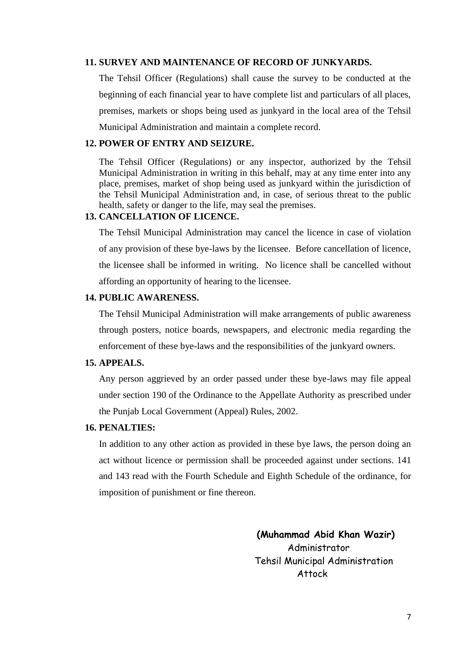#### **11. SURVEY AND MAINTENANCE OF RECORD OF JUNKYARDS.**

The Tehsil Officer (Regulations) shall cause the survey to be conducted at the beginning of each financial year to have complete list and particulars of all places, premises, markets or shops being used as junkyard in the local area of the Tehsil Municipal Administration and maintain a complete record.

## **12. POWER OF ENTRY AND SEIZURE.**

The Tehsil Officer (Regulations) or any inspector, authorized by the Tehsil Municipal Administration in writing in this behalf, may at any time enter into any place, premises, market of shop being used as junkyard within the jurisdiction of the Tehsil Municipal Administration and, in case, of serious threat to the public health, safety or danger to the life, may seal the premises.

### **13. CANCELLATION OF LICENCE.**

The Tehsil Municipal Administration may cancel the licence in case of violation of any provision of these bye-laws by the licensee. Before cancellation of licence, the licensee shall be informed in writing. No licence shall be cancelled without affording an opportunity of hearing to the licensee.

### **14. PUBLIC AWARENESS.**

The Tehsil Municipal Administration will make arrangements of public awareness through posters, notice boards, newspapers, and electronic media regarding the enforcement of these bye-laws and the responsibilities of the junkyard owners.

### **15. APPEALS.**

Any person aggrieved by an order passed under these bye-laws may file appeal under section 190 of the Ordinance to the Appellate Authority as prescribed under the Punjab Local Government (Appeal) Rules, 2002.

### **16. PENALTIES:**

In addition to any other action as provided in these bye laws, the person doing an act without licence or permission shall be proceeded against under sections. 141 and 143 read with the Fourth Schedule and Eighth Schedule of the ordinance, for imposition of punishment or fine thereon.

> **(Muhammad Abid Khan Wazir)** Administrator Tehsil Municipal Administration Attock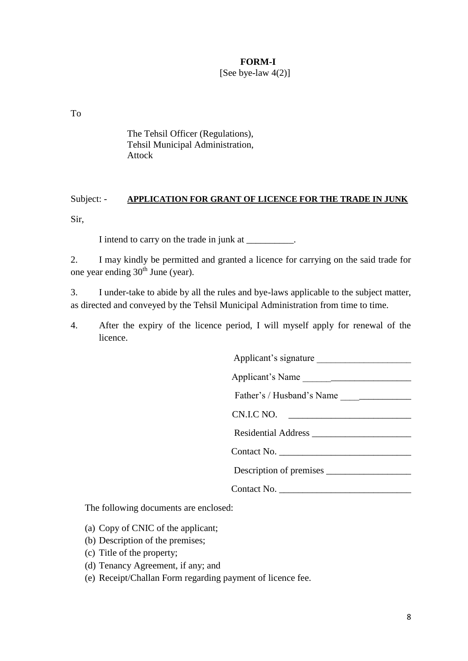## **FORM-I**

[See bye-law  $4(2)$ ]

To

The Tehsil Officer (Regulations), Tehsil Municipal Administration, Attock

## Subject: - **APPLICATION FOR GRANT OF LICENCE FOR THE TRADE IN JUNK**

Sir,

I intend to carry on the trade in junk at \_\_\_\_\_\_\_\_\_\_.

2. I may kindly be permitted and granted a licence for carrying on the said trade for one year ending  $30<sup>th</sup>$  June (year).

3. I under-take to abide by all the rules and bye-laws applicable to the subject matter, as directed and conveyed by the Tehsil Municipal Administration from time to time.

4. After the expiry of the licence period, I will myself apply for renewal of the licence.

Applicant"s signature \_\_\_\_\_\_\_\_\_\_\_\_\_\_\_\_\_\_\_\_

Applicant's Name

Father's / Husband's Name

CN.I.C NO.

Residential Address

Contact No.

Description of premises \_\_\_\_\_\_\_\_\_\_\_\_\_\_\_\_\_\_

Contact No. \_\_\_\_\_\_\_\_\_\_\_\_\_\_\_\_\_\_\_\_\_\_\_\_\_\_\_\_

The following documents are enclosed:

(a) Copy of CNIC of the applicant;

- (b) Description of the premises;
- (c) Title of the property;
- (d) Tenancy Agreement, if any; and
- (e) Receipt/Challan Form regarding payment of licence fee.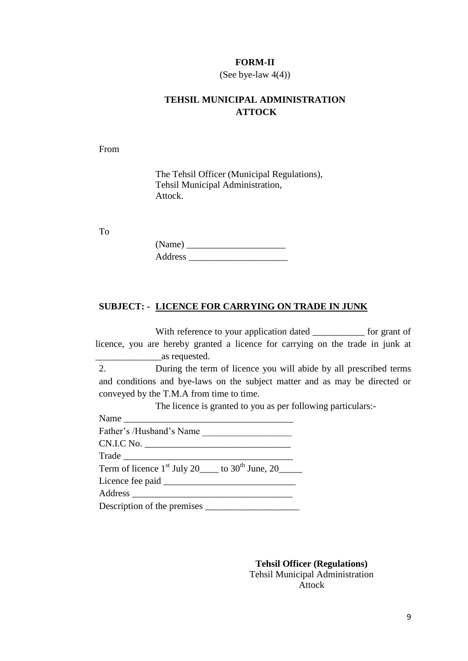#### **FORM-II**

#### (See bye-law  $4(4)$ )

## **TEHSIL MUNICIPAL ADMINISTRATION ATTOCK**

From

The Tehsil Officer (Municipal Regulations), Tehsil Municipal Administration, Attock.

To

| (Name)  |  |
|---------|--|
| Address |  |

## **SUBJECT: - LICENCE FOR CARRYING ON TRADE IN JUNK**

With reference to your application dated \_\_\_\_\_\_\_\_\_\_\_\_ for grant of licence, you are hereby granted a licence for carrying on the trade in junk at \_\_\_\_\_\_\_\_\_\_\_\_\_\_as requested.

2. During the term of licence you will abide by all prescribed terms and conditions and bye-laws on the subject matter and as may be directed or conveyed by the T.M.A from time to time.

The licence is granted to you as per following particulars:-

| Father's /Husband's Name                                            |
|---------------------------------------------------------------------|
|                                                                     |
| Trade                                                               |
| Term of licence $1st$ July 20 $\qquad$ to 30 <sup>th</sup> June, 20 |
|                                                                     |
|                                                                     |
|                                                                     |

**Tehsil Officer (Regulations)** Tehsil Municipal Administration Attock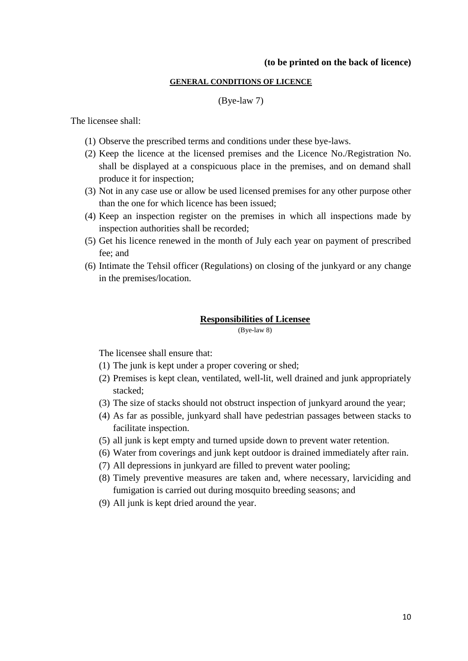#### **(to be printed on the back of licence)**

## **GENERAL CONDITIONS OF LICENCE**

#### (Bye-law 7)

The licensee shall:

- (1) Observe the prescribed terms and conditions under these bye-laws.
- (2) Keep the licence at the licensed premises and the Licence No./Registration No. shall be displayed at a conspicuous place in the premises, and on demand shall produce it for inspection;
- (3) Not in any case use or allow be used licensed premises for any other purpose other than the one for which licence has been issued;
- (4) Keep an inspection register on the premises in which all inspections made by inspection authorities shall be recorded;
- (5) Get his licence renewed in the month of July each year on payment of prescribed fee; and
- (6) Intimate the Tehsil officer (Regulations) on closing of the junkyard or any change in the premises/location.

#### **Responsibilities of Licensee**

(Bye-law 8)

The licensee shall ensure that:

- (1) The junk is kept under a proper covering or shed;
- (2) Premises is kept clean, ventilated, well-lit, well drained and junk appropriately stacked;
- (3) The size of stacks should not obstruct inspection of junkyard around the year;
- (4) As far as possible, junkyard shall have pedestrian passages between stacks to facilitate inspection.
- (5) all junk is kept empty and turned upside down to prevent water retention.
- (6) Water from coverings and junk kept outdoor is drained immediately after rain.
- (7) All depressions in junkyard are filled to prevent water pooling;
- (8) Timely preventive measures are taken and, where necessary, larviciding and fumigation is carried out during mosquito breeding seasons; and
- (9) All junk is kept dried around the year.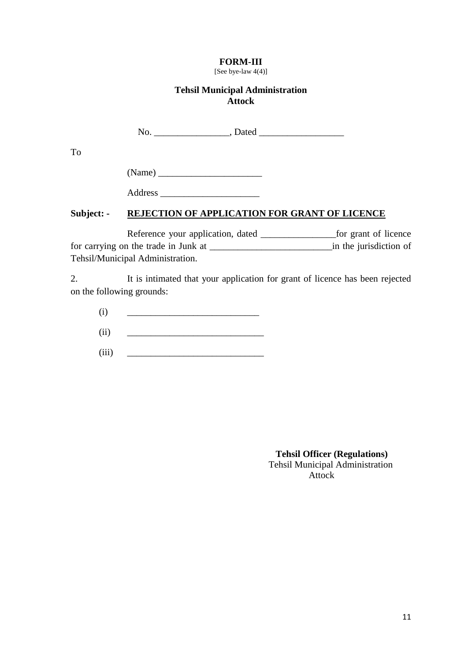## **FORM-III**

[See bye-law 4(4)]

## **Tehsil Municipal Administration Attock**

No. \_\_\_\_\_\_\_\_\_\_\_\_\_\_\_\_, Dated \_\_\_\_\_\_\_\_\_\_\_\_\_\_\_\_\_\_

To

(Name) \_\_\_\_\_\_\_\_\_\_\_\_\_\_\_\_\_\_\_\_\_\_

Address \_\_\_\_\_\_\_\_\_\_\_\_\_\_\_\_\_\_\_\_\_

## **Subject: - REJECTION OF APPLICATION FOR GRANT OF LICENCE**

Reference your application, dated \_\_\_\_\_\_\_\_\_\_\_\_\_\_\_\_\_\_\_\_\_\_\_for grant of licence for carrying on the trade in Junk at \_\_\_\_\_\_\_\_\_\_\_\_\_\_\_\_\_\_\_\_\_\_\_\_\_\_in the jurisdiction of Tehsil/Municipal Administration.

2. It is intimated that your application for grant of licence has been rejected on the following grounds:

 $(i) \qquad \qquad \underline{\hspace{2cm}}$ 

 $(ii)$   $\qquad \qquad$ 

(iii) \_\_\_\_\_\_\_\_\_\_\_\_\_\_\_\_\_\_\_\_\_\_\_\_\_\_\_\_\_

 **Tehsil Officer (Regulations)** Tehsil Municipal Administration Attock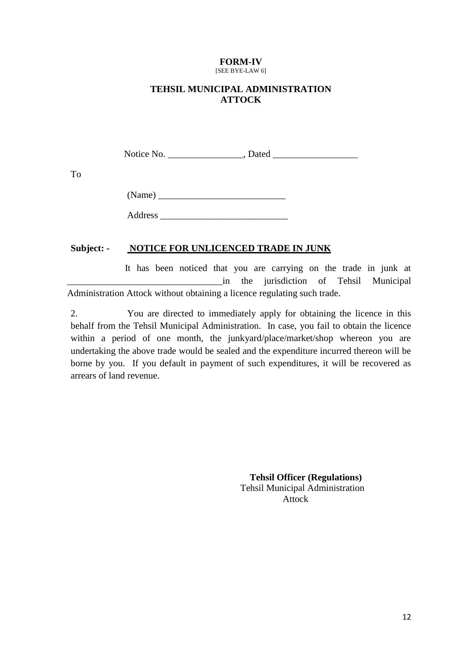#### **FORM-IV** [SEE BYE-LAW 6]

## **TEHSIL MUNICIPAL ADMINISTRATION ATTOCK**

Notice No. \_\_\_\_\_\_\_\_\_\_\_\_\_\_\_\_, Dated \_\_\_\_\_\_\_\_\_\_\_\_\_\_\_\_\_\_

To

| (Name)  |  |  |
|---------|--|--|
| Address |  |  |

## **Subject: - NOTICE FOR UNLICENCED TRADE IN JUNK**

 It has been noticed that you are carrying on the trade in junk at \_\_\_\_\_\_\_\_\_\_\_\_\_\_\_\_\_\_\_\_\_\_\_\_\_\_\_\_\_\_\_\_\_in the jurisdiction of Tehsil Municipal Administration Attock without obtaining a licence regulating such trade.

2. You are directed to immediately apply for obtaining the licence in this behalf from the Tehsil Municipal Administration. In case, you fail to obtain the licence within a period of one month, the junkyard/place/market/shop whereon you are undertaking the above trade would be sealed and the expenditure incurred thereon will be borne by you. If you default in payment of such expenditures, it will be recovered as arrears of land revenue.

> **Tehsil Officer (Regulations)** Tehsil Municipal Administration Attock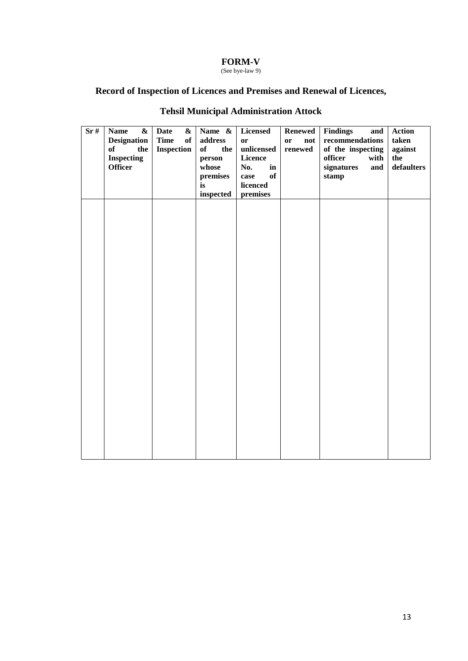### **FORM-V**

(See bye-law 9)

## **Record of Inspection of Licences and Premises and Renewal of Licences,**

| Sr# | <b>Name</b><br>$\boldsymbol{\&}$ | <b>Date</b>       | & Name &  | Licensed             | <b>Renewed</b>       | Findings<br>and   | <b>Action</b> |
|-----|----------------------------------|-------------------|-----------|----------------------|----------------------|-------------------|---------------|
|     | <b>Designation</b>               | <b>Time</b><br>of | address   | $\mathbf{or}$        | $\mathbf{or}$<br>not | $recommendations$ | taken         |
|     | of<br>the                        | Inspection        | of<br>the | unlicensed           | renewed              | of the inspecting | against       |
|     | <b>Inspecting</b>                |                   | person    | Licence              |                      | officer<br>with   | the           |
|     | <b>Officer</b>                   |                   | whose     | No.<br>$\mathbf{in}$ |                      | signatures<br>and | defaulters    |
|     |                                  |                   | premises  | of<br>case           |                      | stamp             |               |
|     |                                  |                   | is        | licenced             |                      |                   |               |
|     |                                  |                   | inspected | premises             |                      |                   |               |
|     |                                  |                   |           |                      |                      |                   |               |
|     |                                  |                   |           |                      |                      |                   |               |
|     |                                  |                   |           |                      |                      |                   |               |
|     |                                  |                   |           |                      |                      |                   |               |
|     |                                  |                   |           |                      |                      |                   |               |
|     |                                  |                   |           |                      |                      |                   |               |
|     |                                  |                   |           |                      |                      |                   |               |
|     |                                  |                   |           |                      |                      |                   |               |
|     |                                  |                   |           |                      |                      |                   |               |
|     |                                  |                   |           |                      |                      |                   |               |
|     |                                  |                   |           |                      |                      |                   |               |
|     |                                  |                   |           |                      |                      |                   |               |
|     |                                  |                   |           |                      |                      |                   |               |
|     |                                  |                   |           |                      |                      |                   |               |
|     |                                  |                   |           |                      |                      |                   |               |
|     |                                  |                   |           |                      |                      |                   |               |
|     |                                  |                   |           |                      |                      |                   |               |
|     |                                  |                   |           |                      |                      |                   |               |
|     |                                  |                   |           |                      |                      |                   |               |
|     |                                  |                   |           |                      |                      |                   |               |
|     |                                  |                   |           |                      |                      |                   |               |
|     |                                  |                   |           |                      |                      |                   |               |
|     |                                  |                   |           |                      |                      |                   |               |
|     |                                  |                   |           |                      |                      |                   |               |
|     |                                  |                   |           |                      |                      |                   |               |
|     |                                  |                   |           |                      |                      |                   |               |
|     |                                  |                   |           |                      |                      |                   |               |
|     |                                  |                   |           |                      |                      |                   |               |
|     |                                  |                   |           |                      |                      |                   |               |
|     |                                  |                   |           |                      |                      |                   |               |

# **Tehsil Municipal Administration Attock**